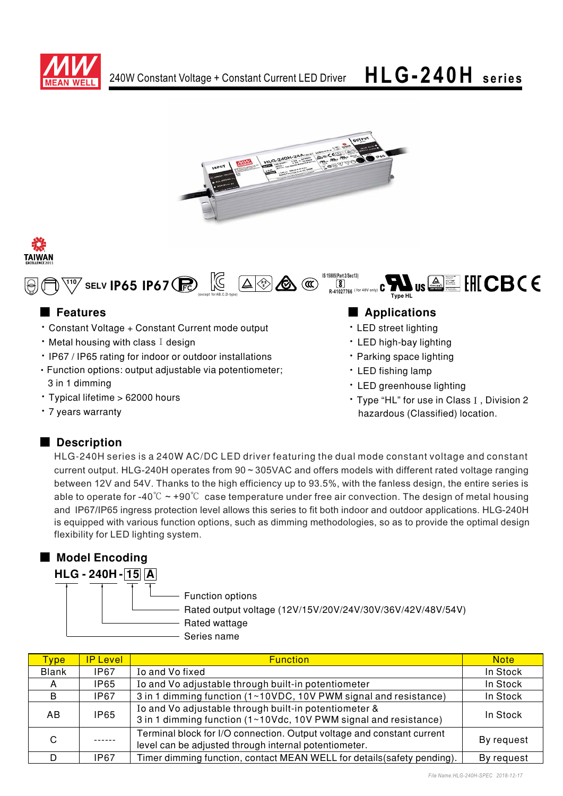







## ■ **Features**

- Constant Voltage + Constant Current mode output
- $\cdot$  Metal housing with class I design
- IP67 / IP65 rating for indoor or outdoor installations
- Function options: output adjustable via potentiometer; 3 in 1 dimming
- Typical lifetime > 62000 hours
- 7 years warranty

## 

**IS 15885(Part 2/Sec13)**

**R-41027766** THOMAS SAMUEL THOMAS SAMUEL " (+% ,

**Type HI** 

- LED street lighting
- LED high-bay lighting
- Parking space lighting
- LED fishing lamp
- LED greenhouse lighting
- Type "HL" for use in Class I, Division 2 hazardous (Classified) location.

Bauart gepruft<br>Sicherheit<br>Flegelmann<br>Sie familien<br>Ge familien<br>Eliza Sicherheit<br>Sie familien

## ■ Description

HLG-240H series is a 240W AC/DC LED driver featuring the dual mode constant voltage and constant current output. HLG-240H operates from 90 ~ 305VAC and offers models with different rated voltage ranging between 12V and 54V. Thanks to the high efficiency up to 93.5%, with the fanless design, the entire series is able to operate for -40 $\degree$ C  $\sim$  +90 $\degree$ C case temperature under free air convection. The design of metal housing and IP67/IP65 ingress protection level allows this series to fit both indoor and outdoor applications. HLG-240H is equipped with various function options, such as dimming methodologies, so as to provide the optimal design flexibility for LED lighting system.

## ■ Model Encoding

- Function options Rated output voltage (12V/15V/20V/24V/30V/36V/42V/48V/54V) Rated wattage Series name  **HLG - 240H - 15 A** 

| Type         | <b>IP Level</b> | <b>Function</b>                                                                                                                 | <b>Note</b> |
|--------------|-----------------|---------------------------------------------------------------------------------------------------------------------------------|-------------|
| <b>Blank</b> | <b>IP67</b>     | Io and Vo fixed                                                                                                                 | In Stock    |
| A            | <b>IP65</b>     | Io and Vo adjustable through built-in potentiometer                                                                             | In Stock    |
| <sub>B</sub> | IP67            | 3 in 1 dimming function (1~10VDC, 10V PWM signal and resistance)                                                                | In Stock    |
| AB.          | <b>IP65</b>     | Io and Vo adjustable through built-in potentiometer &<br>3 in 1 dimming function (1~10Vdc, 10V PWM signal and resistance)       | In Stock    |
| C            |                 | Terminal block for I/O connection. Output voltage and constant current<br>level can be adjusted through internal potentiometer. | By request  |
|              | IP67            | Timer dimming function, contact MEAN WELL for details (safety pending).                                                         | By request  |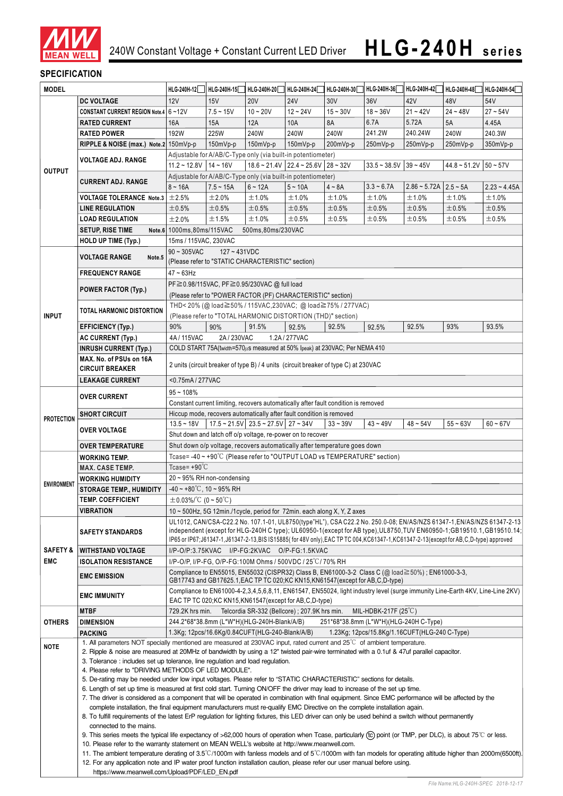

### **SPECIFICATION**

| <b>MODEL</b>                      |                                                                                                                                                                                                                                                                                                                                                                                                                                                                                                                                                                                                                                                                                                | HLG-240H-12                                                                                                                                                                                                                                     | HLG-240H-15                                     | HLG-240H-20                                                                        | HLG-240H-24                                                                | HLG-240H-30 | HLG-240H-36                                   | HLG-240H-42                             | HLG-240H-48                                    | HLG-240H-54    |  |  |  |  |  |  |  |  |  |
|-----------------------------------|------------------------------------------------------------------------------------------------------------------------------------------------------------------------------------------------------------------------------------------------------------------------------------------------------------------------------------------------------------------------------------------------------------------------------------------------------------------------------------------------------------------------------------------------------------------------------------------------------------------------------------------------------------------------------------------------|-------------------------------------------------------------------------------------------------------------------------------------------------------------------------------------------------------------------------------------------------|-------------------------------------------------|------------------------------------------------------------------------------------|----------------------------------------------------------------------------|-------------|-----------------------------------------------|-----------------------------------------|------------------------------------------------|----------------|--|--|--|--|--|--|--|--|--|
|                                   | <b>DC VOLTAGE</b>                                                                                                                                                                                                                                                                                                                                                                                                                                                                                                                                                                                                                                                                              | 12V                                                                                                                                                                                                                                             | 15V                                             | <b>20V</b>                                                                         | <b>24V</b>                                                                 | 30V         | 36V                                           | 42V                                     | 48V                                            | 54V            |  |  |  |  |  |  |  |  |  |
|                                   | CONSTANT CURRENT REGION Note.4 6~12V                                                                                                                                                                                                                                                                                                                                                                                                                                                                                                                                                                                                                                                           |                                                                                                                                                                                                                                                 | $7.5 - 15V$                                     | $10 - 20V$                                                                         | $12 - 24V$                                                                 | $15 - 30V$  | $18 - 36V$                                    | $21 - 42V$                              | $24 - 48V$                                     | $27 - 54V$     |  |  |  |  |  |  |  |  |  |
| <b>OUTPUT</b>                     | <b>RATED CURRENT</b>                                                                                                                                                                                                                                                                                                                                                                                                                                                                                                                                                                                                                                                                           | 16A                                                                                                                                                                                                                                             | 15A                                             | 12A                                                                                | 10A                                                                        | 8A          | 6.7A                                          | 5.72A                                   | 5A                                             | 4.45A          |  |  |  |  |  |  |  |  |  |
|                                   | <b>RATED POWER</b>                                                                                                                                                                                                                                                                                                                                                                                                                                                                                                                                                                                                                                                                             | 192W                                                                                                                                                                                                                                            | 225W                                            | 240W                                                                               | 240W                                                                       | 240W        | 241.2W                                        | 240.24W                                 | 240W                                           | 240.3W         |  |  |  |  |  |  |  |  |  |
|                                   | RIPPLE & NOISE (max.) Note.2 150mVp-p                                                                                                                                                                                                                                                                                                                                                                                                                                                                                                                                                                                                                                                          |                                                                                                                                                                                                                                                 | 150mVp-p                                        | 150mVp-p                                                                           | 150mVp-p                                                                   | 200mVp-p    | 250mVp-p                                      | 250mVp-p                                | 250mVp-p                                       | 350mVp-p       |  |  |  |  |  |  |  |  |  |
|                                   |                                                                                                                                                                                                                                                                                                                                                                                                                                                                                                                                                                                                                                                                                                |                                                                                                                                                                                                                                                 |                                                 |                                                                                    | Adjustable for A/AB/C-Type only (via built-in potentiometer)               |             |                                               |                                         |                                                |                |  |  |  |  |  |  |  |  |  |
|                                   | <b>VOLTAGE ADJ. RANGE</b>                                                                                                                                                                                                                                                                                                                                                                                                                                                                                                                                                                                                                                                                      | $11.2 \approx 12.8V$   14 ~ 16V<br>$18.6 \approx 21.4 \text{V}$ 22.4 $\approx 25.6 \text{V}$ 28 $\approx 32 \text{V}$<br>$33.5 - 38.5V$<br>$39 - 45V$<br>$44.8 \approx 51.2 \text{V}$ 50 $\approx 57 \text{V}$                                  |                                                 |                                                                                    |                                                                            |             |                                               |                                         |                                                |                |  |  |  |  |  |  |  |  |  |
|                                   | <b>CURRENT ADJ. RANGE</b>                                                                                                                                                                                                                                                                                                                                                                                                                                                                                                                                                                                                                                                                      | Adjustable for A/AB/C-Type only (via built-in potentiometer)                                                                                                                                                                                    |                                                 |                                                                                    |                                                                            |             |                                               |                                         |                                                |                |  |  |  |  |  |  |  |  |  |
|                                   |                                                                                                                                                                                                                                                                                                                                                                                                                                                                                                                                                                                                                                                                                                | $8 - 16A$                                                                                                                                                                                                                                       | $7.5 - 15A$                                     | $6 - 12A$                                                                          | $5 - 10A$                                                                  | $4 - 8A$    | $3.3 - 6.7A$                                  | $2.86 \approx 5.72A$   $2.5 \approx 5A$ |                                                | $2.23 - 4.45A$ |  |  |  |  |  |  |  |  |  |
|                                   | <b>VOLTAGE TOLERANCE Note.3</b> $\pm$ 2.5%                                                                                                                                                                                                                                                                                                                                                                                                                                                                                                                                                                                                                                                     |                                                                                                                                                                                                                                                 | ±2.0%                                           | ±1.0%                                                                              | ±1.0%                                                                      | ±1.0%       | ±1.0%                                         | ±1.0%                                   | ±1.0%                                          | ±1.0%          |  |  |  |  |  |  |  |  |  |
|                                   | <b>LINE REGULATION</b>                                                                                                                                                                                                                                                                                                                                                                                                                                                                                                                                                                                                                                                                         | ±0.5%                                                                                                                                                                                                                                           | ±0.5%                                           | ±0.5%                                                                              | ±0.5%                                                                      | ±0.5%       | ±0.5%                                         | ±0.5%                                   | ±0.5%                                          | $\pm 0.5\%$    |  |  |  |  |  |  |  |  |  |
|                                   | <b>LOAD REGULATION</b>                                                                                                                                                                                                                                                                                                                                                                                                                                                                                                                                                                                                                                                                         | ±2.0%                                                                                                                                                                                                                                           | ±1.5%                                           | ±1.0%                                                                              | ±0.5%                                                                      | ±0.5%       | ±0.5%                                         | ±0.5%                                   | $\pm 0.5\%$                                    | ±0.5%          |  |  |  |  |  |  |  |  |  |
|                                   | <b>SETUP, RISE TIME</b>                                                                                                                                                                                                                                                                                                                                                                                                                                                                                                                                                                                                                                                                        | Note.6 1000ms, 80ms/115VAC<br>500ms,80ms/230VAC                                                                                                                                                                                                 |                                                 |                                                                                    |                                                                            |             |                                               |                                         |                                                |                |  |  |  |  |  |  |  |  |  |
|                                   | <b>HOLD UP TIME (Typ.)</b>                                                                                                                                                                                                                                                                                                                                                                                                                                                                                                                                                                                                                                                                     | 15ms / 115VAC, 230VAC                                                                                                                                                                                                                           |                                                 |                                                                                    |                                                                            |             |                                               |                                         |                                                |                |  |  |  |  |  |  |  |  |  |
|                                   | <b>VOLTAGE RANGE</b><br>Note.5                                                                                                                                                                                                                                                                                                                                                                                                                                                                                                                                                                                                                                                                 | $90 \sim 305$ VAC<br>$127 - 431VDC$<br>(Please refer to "STATIC CHARACTERISTIC" section)                                                                                                                                                        |                                                 |                                                                                    |                                                                            |             |                                               |                                         |                                                |                |  |  |  |  |  |  |  |  |  |
|                                   | <b>FREQUENCY RANGE</b>                                                                                                                                                                                                                                                                                                                                                                                                                                                                                                                                                                                                                                                                         |                                                                                                                                                                                                                                                 |                                                 |                                                                                    |                                                                            |             |                                               |                                         |                                                |                |  |  |  |  |  |  |  |  |  |
|                                   |                                                                                                                                                                                                                                                                                                                                                                                                                                                                                                                                                                                                                                                                                                | $47 - 63$ Hz<br>PF ≥ 0.98/115VAC, PF ≥ 0.95/230VAC @ full load                                                                                                                                                                                  |                                                 |                                                                                    |                                                                            |             |                                               |                                         |                                                |                |  |  |  |  |  |  |  |  |  |
|                                   | POWER FACTOR (Typ.)                                                                                                                                                                                                                                                                                                                                                                                                                                                                                                                                                                                                                                                                            | (Please refer to "POWER FACTOR (PF) CHARACTERISTIC" section)                                                                                                                                                                                    |                                                 |                                                                                    |                                                                            |             |                                               |                                         |                                                |                |  |  |  |  |  |  |  |  |  |
|                                   |                                                                                                                                                                                                                                                                                                                                                                                                                                                                                                                                                                                                                                                                                                | THD<20% (@load≧50% / 115VAC,230VAC; @load≧75% / 277VAC)                                                                                                                                                                                         |                                                 |                                                                                    |                                                                            |             |                                               |                                         |                                                |                |  |  |  |  |  |  |  |  |  |
| <b>INPUT</b>                      | TOTAL HARMONIC DISTORTION                                                                                                                                                                                                                                                                                                                                                                                                                                                                                                                                                                                                                                                                      |                                                                                                                                                                                                                                                 |                                                 |                                                                                    | (Please refer to "TOTAL HARMONIC DISTORTION (THD)" section)                |             |                                               |                                         |                                                |                |  |  |  |  |  |  |  |  |  |
|                                   | <b>EFFICIENCY (Typ.)</b>                                                                                                                                                                                                                                                                                                                                                                                                                                                                                                                                                                                                                                                                       | 90%                                                                                                                                                                                                                                             | 90%                                             | 91.5%                                                                              | 92.5%                                                                      | 92.5%       | 92.5%                                         | 92.5%                                   | 93%                                            | 93.5%          |  |  |  |  |  |  |  |  |  |
|                                   | AC CURRENT (Typ.)                                                                                                                                                                                                                                                                                                                                                                                                                                                                                                                                                                                                                                                                              | 4A / 115VAC                                                                                                                                                                                                                                     | 2A/230VAC                                       |                                                                                    | 1.2A/277VAC                                                                |             |                                               |                                         |                                                |                |  |  |  |  |  |  |  |  |  |
|                                   | <b>INRUSH CURRENT (Typ.)</b>                                                                                                                                                                                                                                                                                                                                                                                                                                                                                                                                                                                                                                                                   |                                                                                                                                                                                                                                                 |                                                 |                                                                                    | COLD START 75A(twidth=570µs measured at 50% Ipeak) at 230VAC; Per NEMA 410 |             |                                               |                                         |                                                |                |  |  |  |  |  |  |  |  |  |
|                                   | MAX. No. of PSUs on 16A                                                                                                                                                                                                                                                                                                                                                                                                                                                                                                                                                                                                                                                                        |                                                                                                                                                                                                                                                 |                                                 |                                                                                    |                                                                            |             |                                               |                                         |                                                |                |  |  |  |  |  |  |  |  |  |
|                                   | <b>CIRCUIT BREAKER</b>                                                                                                                                                                                                                                                                                                                                                                                                                                                                                                                                                                                                                                                                         | 2 units (circuit breaker of type B) / 4 units (circuit breaker of type C) at 230VAC                                                                                                                                                             |                                                 |                                                                                    |                                                                            |             |                                               |                                         |                                                |                |  |  |  |  |  |  |  |  |  |
|                                   | <b>LEAKAGE CURRENT</b>                                                                                                                                                                                                                                                                                                                                                                                                                                                                                                                                                                                                                                                                         | <0.75mA/277VAC                                                                                                                                                                                                                                  |                                                 |                                                                                    |                                                                            |             |                                               |                                         |                                                |                |  |  |  |  |  |  |  |  |  |
|                                   | <b>OVER CURRENT</b>                                                                                                                                                                                                                                                                                                                                                                                                                                                                                                                                                                                                                                                                            | $95 - 108%$                                                                                                                                                                                                                                     |                                                 |                                                                                    |                                                                            |             |                                               |                                         |                                                |                |  |  |  |  |  |  |  |  |  |
|                                   |                                                                                                                                                                                                                                                                                                                                                                                                                                                                                                                                                                                                                                                                                                | Constant current limiting, recovers automatically after fault condition is removed<br>Hiccup mode, recovers automatically after fault condition is removed                                                                                      |                                                 |                                                                                    |                                                                            |             |                                               |                                         |                                                |                |  |  |  |  |  |  |  |  |  |
| <b>PROTECTION</b>                 | <b>SHORT CIRCUIT</b>                                                                                                                                                                                                                                                                                                                                                                                                                                                                                                                                                                                                                                                                           | $13.5 - 18V$                                                                                                                                                                                                                                    |                                                 | $17.5 \approx 21.5 \text{V}$ 23.5 $\approx 27.5 \text{V}$ 27 $\approx 34 \text{V}$ |                                                                            | $33 - 39V$  | $43 - 49V$                                    | $48 - 54V$                              | $55 - 63V$                                     | $60 - 67V$     |  |  |  |  |  |  |  |  |  |
|                                   | <b>OVER VOLTAGE</b>                                                                                                                                                                                                                                                                                                                                                                                                                                                                                                                                                                                                                                                                            |                                                                                                                                                                                                                                                 |                                                 |                                                                                    | Shut down and latch off o/p voltage, re-power on to recover                |             |                                               |                                         |                                                |                |  |  |  |  |  |  |  |  |  |
|                                   | <b>OVER TEMPERATURE</b>                                                                                                                                                                                                                                                                                                                                                                                                                                                                                                                                                                                                                                                                        | Shut down o/p voltage, recovers automatically after temperature goes down                                                                                                                                                                       |                                                 |                                                                                    |                                                                            |             |                                               |                                         |                                                |                |  |  |  |  |  |  |  |  |  |
|                                   | <b>WORKING TEMP.</b>                                                                                                                                                                                                                                                                                                                                                                                                                                                                                                                                                                                                                                                                           | Tcase=-40~+90°C (Please refer to "OUTPUT LOAD vs TEMPERATURE" section)                                                                                                                                                                          |                                                 |                                                                                    |                                                                            |             |                                               |                                         |                                                |                |  |  |  |  |  |  |  |  |  |
|                                   | <b>MAX. CASE TEMP.</b>                                                                                                                                                                                                                                                                                                                                                                                                                                                                                                                                                                                                                                                                         | Tcase= $+90^{\circ}$ C                                                                                                                                                                                                                          |                                                 |                                                                                    |                                                                            |             |                                               |                                         |                                                |                |  |  |  |  |  |  |  |  |  |
| <b>ENVIRONMENT</b>                | <b>WORKING HUMIDITY</b>                                                                                                                                                                                                                                                                                                                                                                                                                                                                                                                                                                                                                                                                        | $20 \sim 95\%$ RH non-condensing                                                                                                                                                                                                                |                                                 |                                                                                    |                                                                            |             |                                               |                                         |                                                |                |  |  |  |  |  |  |  |  |  |
|                                   | <b>STORAGE TEMP., HUMIDITY</b>                                                                                                                                                                                                                                                                                                                                                                                                                                                                                                                                                                                                                                                                 | $-40 \sim +80^{\circ}$ C, 10 ~ 95% RH                                                                                                                                                                                                           |                                                 |                                                                                    |                                                                            |             |                                               |                                         |                                                |                |  |  |  |  |  |  |  |  |  |
|                                   | <b>TEMP. COEFFICIENT</b>                                                                                                                                                                                                                                                                                                                                                                                                                                                                                                                                                                                                                                                                       | $\pm$ 0.03%/°C (0~50°C)                                                                                                                                                                                                                         |                                                 |                                                                                    |                                                                            |             |                                               |                                         |                                                |                |  |  |  |  |  |  |  |  |  |
|                                   | VIBRATION                                                                                                                                                                                                                                                                                                                                                                                                                                                                                                                                                                                                                                                                                      | 10 $\sim$ 500Hz, 5G 12min./1 cycle, period for 72min. each along X, Y, Z axes                                                                                                                                                                   |                                                 |                                                                                    |                                                                            |             |                                               |                                         |                                                |                |  |  |  |  |  |  |  |  |  |
| <b>SAFETY &amp;</b><br><b>EMC</b> |                                                                                                                                                                                                                                                                                                                                                                                                                                                                                                                                                                                                                                                                                                | UL1012, CAN/CSA-C22.2 No. 107.1-01, UL8750(type"HL"), CSA C22.2 No. 250.0-08; EN/AS/NZS 61347-1, EN/AS/NZS 61347-2-13<br>independent (except for HLG-240H C type); UL60950-1(except for AB type), UL8750, TUV EN60950-1; GB19510.1, GB19510.14; |                                                 |                                                                                    |                                                                            |             |                                               |                                         |                                                |                |  |  |  |  |  |  |  |  |  |
|                                   | <b>SAFETY STANDARDS</b>                                                                                                                                                                                                                                                                                                                                                                                                                                                                                                                                                                                                                                                                        | IP65 or IP67;J61347-1,J61347-2-13,BIS IS15885(for 48V only),EAC TP TC 004,KC61347-1,KC61347-2-13(except for AB,C,D-type) approved                                                                                                               |                                                 |                                                                                    |                                                                            |             |                                               |                                         |                                                |                |  |  |  |  |  |  |  |  |  |
|                                   | <b>WITHSTAND VOLTAGE</b>                                                                                                                                                                                                                                                                                                                                                                                                                                                                                                                                                                                                                                                                       | I/P-O/P:3.75KVAC I/P-FG:2KVAC O/P-FG:1.5KVAC                                                                                                                                                                                                    |                                                 |                                                                                    |                                                                            |             |                                               |                                         |                                                |                |  |  |  |  |  |  |  |  |  |
|                                   | <b>ISOLATION RESISTANCE</b>                                                                                                                                                                                                                                                                                                                                                                                                                                                                                                                                                                                                                                                                    | I/P-O/P, I/P-FG, O/P-FG:100M Ohms / 500VDC / 25°C/70% RH                                                                                                                                                                                        |                                                 |                                                                                    |                                                                            |             |                                               |                                         |                                                |                |  |  |  |  |  |  |  |  |  |
|                                   | <b>EMC EMISSION</b>                                                                                                                                                                                                                                                                                                                                                                                                                                                                                                                                                                                                                                                                            | Compliance to EN55015, EN55032 (CISPR32) Class B, EN61000-3-2 Class C (@ load≧50%) ; EN61000-3-3,                                                                                                                                               |                                                 |                                                                                    |                                                                            |             |                                               |                                         |                                                |                |  |  |  |  |  |  |  |  |  |
|                                   |                                                                                                                                                                                                                                                                                                                                                                                                                                                                                                                                                                                                                                                                                                | GB17743 and GB17625.1, EAC TP TC 020; KC KN15, KN61547 (except for AB, C, D-type)                                                                                                                                                               |                                                 |                                                                                    |                                                                            |             |                                               |                                         |                                                |                |  |  |  |  |  |  |  |  |  |
|                                   | <b>EMC IMMUNITY</b>                                                                                                                                                                                                                                                                                                                                                                                                                                                                                                                                                                                                                                                                            | Compliance to EN61000-4-2,3,4,5,6,8,11, EN61547, EN55024, light industry level (surge immunity Line-Earth 4KV, Line-Line 2KV)<br>EAC TP TC 020; KC KN15, KN61547 (except for AB, C, D-type)                                                     |                                                 |                                                                                    |                                                                            |             |                                               |                                         |                                                |                |  |  |  |  |  |  |  |  |  |
| <b>OTHERS</b>                     | <b>MTBF</b>                                                                                                                                                                                                                                                                                                                                                                                                                                                                                                                                                                                                                                                                                    | 729.2K hrs min.                                                                                                                                                                                                                                 |                                                 |                                                                                    | Telcordia SR-332 (Bellcore); 207.9K hrs min.                               |             | MIL-HDBK-217F $(25^{\circ}C)$                 |                                         |                                                |                |  |  |  |  |  |  |  |  |  |
|                                   | <b>DIMENSION</b>                                                                                                                                                                                                                                                                                                                                                                                                                                                                                                                                                                                                                                                                               |                                                                                                                                                                                                                                                 | 244.2*68*38.8mm (L*W*H)(HLG-240H-Blank/A/B)     |                                                                                    |                                                                            |             | 251*68*38.8mm (L*W*H)(HLG-240H C-Type)        |                                         |                                                |                |  |  |  |  |  |  |  |  |  |
|                                   | <b>PACKING</b>                                                                                                                                                                                                                                                                                                                                                                                                                                                                                                                                                                                                                                                                                 |                                                                                                                                                                                                                                                 | 1.3Kg; 12pcs/16.6Kg/0.84CUFT(HLG-240-Blank/A/B) |                                                                                    |                                                                            |             | 1.23Kg; 12pcs/15.8Kg/1.16CUFT(HLG-240 C-Type) |                                         |                                                |                |  |  |  |  |  |  |  |  |  |
| <b>NOTE</b>                       | 1. All parameters NOT specially mentioned are measured at 230VAC input, rated current and 25°C of ambient temperature.<br>2. Ripple & noise are measured at 20MHz of bandwidth by using a 12" twisted pair-wire terminated with a 0.1uf & 47uf parallel capacitor.                                                                                                                                                                                                                                                                                                                                                                                                                             |                                                                                                                                                                                                                                                 |                                                 |                                                                                    |                                                                            |             |                                               |                                         |                                                |                |  |  |  |  |  |  |  |  |  |
|                                   |                                                                                                                                                                                                                                                                                                                                                                                                                                                                                                                                                                                                                                                                                                |                                                                                                                                                                                                                                                 |                                                 |                                                                                    |                                                                            |             |                                               |                                         |                                                |                |  |  |  |  |  |  |  |  |  |
|                                   | 3. Tolerance: includes set up tolerance, line regulation and load regulation.<br>4. Please refer to "DRIVING METHODS OF LED MODULE".                                                                                                                                                                                                                                                                                                                                                                                                                                                                                                                                                           |                                                                                                                                                                                                                                                 |                                                 |                                                                                    |                                                                            |             |                                               |                                         |                                                |                |  |  |  |  |  |  |  |  |  |
|                                   | 5. De-rating may be needed under low input voltages. Please refer to "STATIC CHARACTERISTIC" sections for details.<br>6. Length of set up time is measured at first cold start. Turning ON/OFF the driver may lead to increase of the set up time.<br>7. The driver is considered as a component that will be operated in combination with final equipment. Since EMC performance will be affected by the<br>complete installation, the final equipment manufacturers must re-qualify EMC Directive on the complete installation again.<br>8. To fulfill requirements of the latest ErP regulation for lighting fixtures, this LED driver can only be used behind a switch without permanently |                                                                                                                                                                                                                                                 |                                                 |                                                                                    |                                                                            |             |                                               |                                         |                                                |                |  |  |  |  |  |  |  |  |  |
|                                   |                                                                                                                                                                                                                                                                                                                                                                                                                                                                                                                                                                                                                                                                                                |                                                                                                                                                                                                                                                 |                                                 |                                                                                    |                                                                            |             |                                               |                                         |                                                |                |  |  |  |  |  |  |  |  |  |
|                                   |                                                                                                                                                                                                                                                                                                                                                                                                                                                                                                                                                                                                                                                                                                |                                                                                                                                                                                                                                                 |                                                 |                                                                                    |                                                                            |             |                                               |                                         |                                                |                |  |  |  |  |  |  |  |  |  |
|                                   |                                                                                                                                                                                                                                                                                                                                                                                                                                                                                                                                                                                                                                                                                                |                                                                                                                                                                                                                                                 |                                                 |                                                                                    |                                                                            |             |                                               |                                         |                                                |                |  |  |  |  |  |  |  |  |  |
|                                   | connected to the mains.<br>9. This series meets the typical life expectancy of >62,000 hours of operation when Tcase, particularly (tc) point (or TMP, per DLC), is about 75°C or less.<br>10. Please refer to the warranty statement on MEAN WELL's website at http://www.meanwell.com.<br>11. The ambient temperature derating of 3.5°C/1000m with fanless models and of 5°C/1000m with fan models for operating altitude higher than 2000m(6500ft).<br>12. For any application note and IP water proof function installation caution, please refer our user manual before using.                                                                                                            |                                                                                                                                                                                                                                                 |                                                 |                                                                                    |                                                                            |             |                                               |                                         |                                                |                |  |  |  |  |  |  |  |  |  |
|                                   |                                                                                                                                                                                                                                                                                                                                                                                                                                                                                                                                                                                                                                                                                                |                                                                                                                                                                                                                                                 |                                                 |                                                                                    |                                                                            |             |                                               |                                         |                                                |                |  |  |  |  |  |  |  |  |  |
|                                   |                                                                                                                                                                                                                                                                                                                                                                                                                                                                                                                                                                                                                                                                                                |                                                                                                                                                                                                                                                 |                                                 |                                                                                    |                                                                            |             |                                               |                                         |                                                |                |  |  |  |  |  |  |  |  |  |
|                                   |                                                                                                                                                                                                                                                                                                                                                                                                                                                                                                                                                                                                                                                                                                |                                                                                                                                                                                                                                                 |                                                 |                                                                                    |                                                                            |             |                                               |                                         |                                                |                |  |  |  |  |  |  |  |  |  |
|                                   |                                                                                                                                                                                                                                                                                                                                                                                                                                                                                                                                                                                                                                                                                                |                                                                                                                                                                                                                                                 |                                                 |                                                                                    |                                                                            |             |                                               |                                         | https://www.meanwell.com/Upload/PDF/LED EN.pdf |                |  |  |  |  |  |  |  |  |  |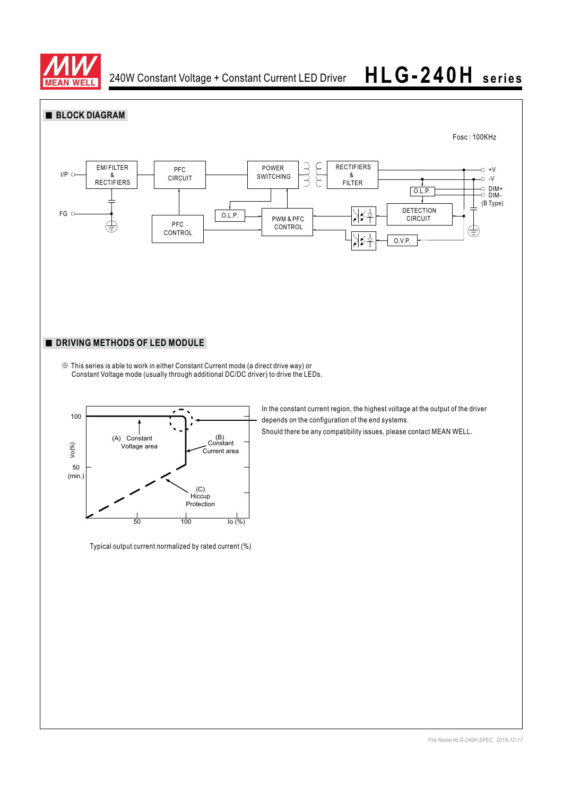



Typical output current normalized by rated current (%)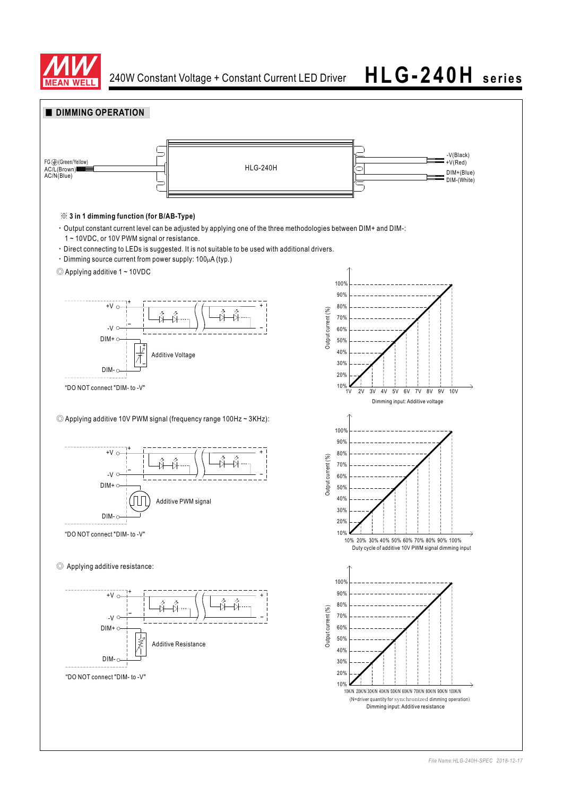

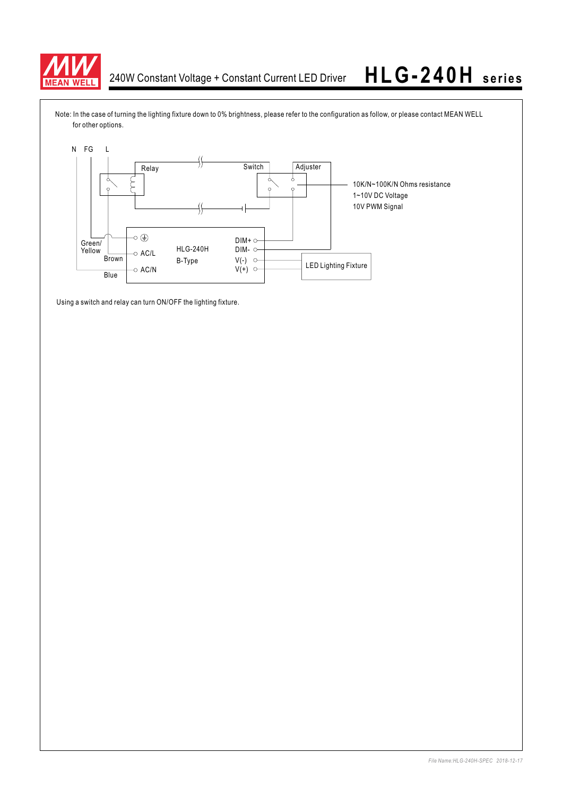

Note: In the case of turning the lighting fixture down to 0% brightness, please refer to the configuration as follow, or please contact MEAN WELL for other options.



Using a switch and relay can turn ON/OFF the lighting fixture.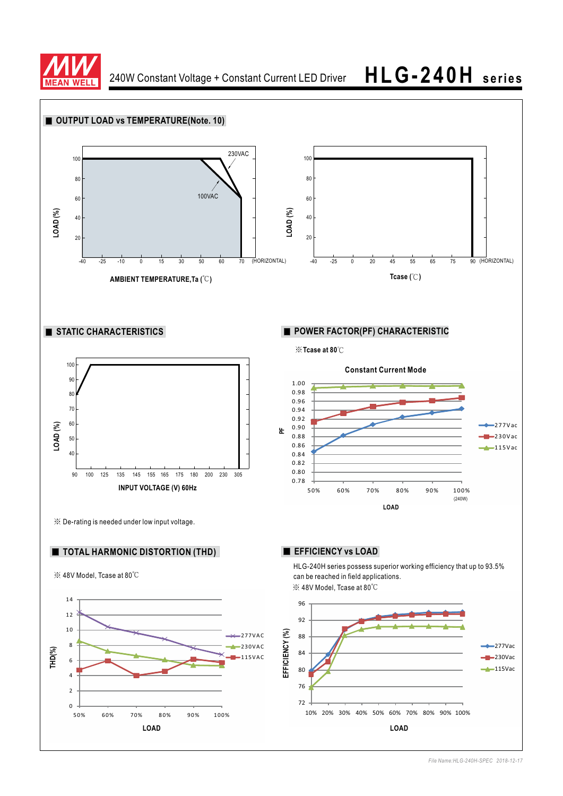

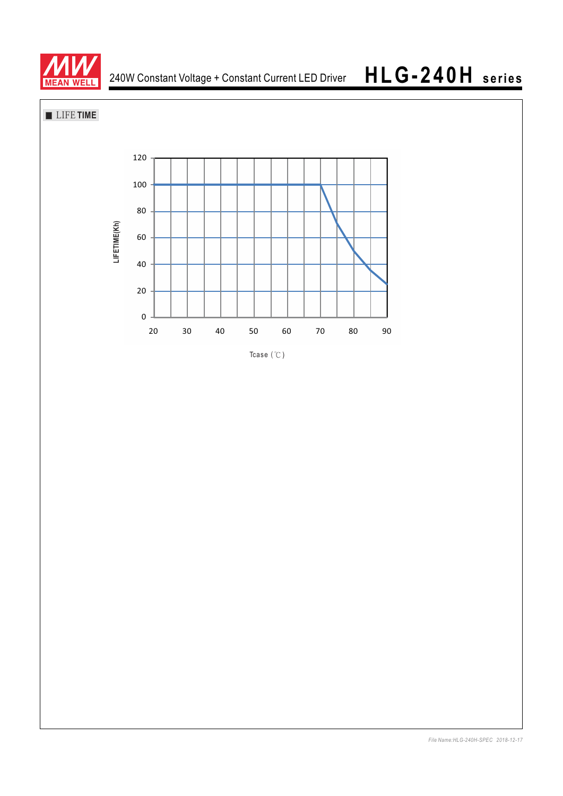

**LIFE TIME** 



Tcase  $($   $\degree$ C)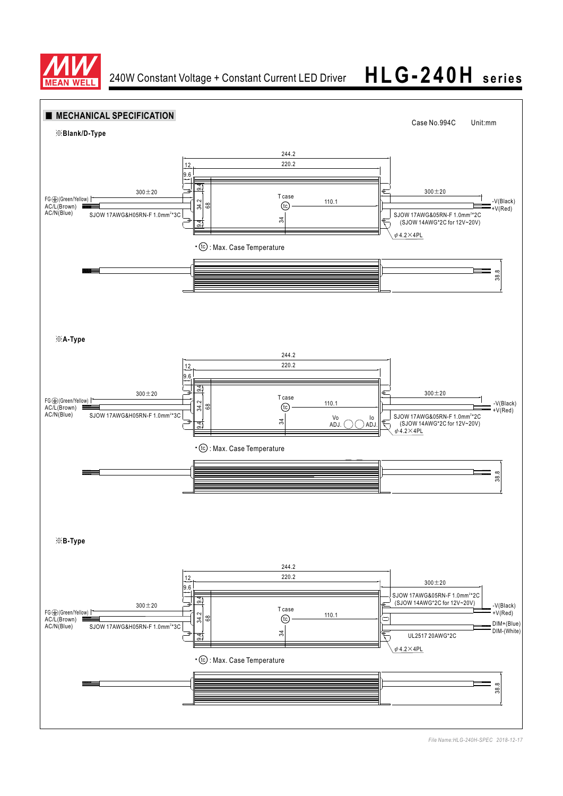



*File Name:HLG-240H-SPEC 2018-12-17*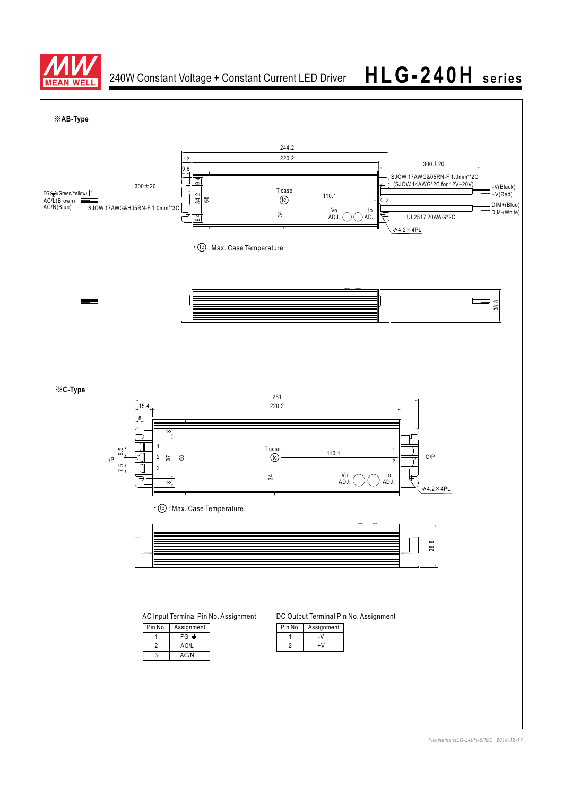